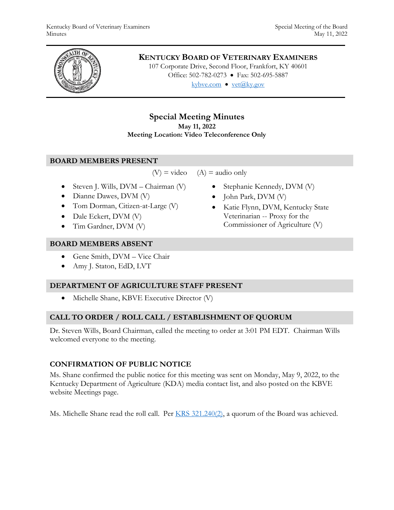

# **KENTUCKY BOARD OF VETERINARY EXAMINERS**

107 Corporate Drive, Second Floor, Frankfort, KY 40601 Office: 502-782-0273 • Fax: 502-695-5887 kybve.com  $\bullet$  yet@ky.gov

# **Special Meeting Minutes May 11, 2022 Meeting Location: Video Teleconference Only**

### **BOARD MEMBERS PRESENT**

 $(V)$  = video  $(A)$  = audio only

- Steven J. Wills,  $DVM Chairman (V)$
- Dianne Dawes, DVM (V)
- Tom Dorman, Citizen-at-Large (V)
- Dale Eckert, DVM (V)
- Tim Gardner, DVM (V)

### **BOARD MEMBERS ABSENT**

- Gene Smith, DVM Vice Chair
- Amy J. Staton, EdD, LVT

# **DEPARTMENT OF AGRICULTURE STAFF PRESENT**

• Michelle Shane, KBVE Executive Director (V)

# **CALL TO ORDER / ROLL CALL / ESTABLISHMENT OF QUORUM**

Dr. Steven Wills, Board Chairman, called the meeting to order at 3:01 PM EDT. Chairman Wills welcomed everyone to the meeting.

# **CONFIRMATION OF PUBLIC NOTICE**

Ms. Shane confirmed the public notice for this meeting was sent on Monday, May 9, 2022, to the Kentucky Department of Agriculture (KDA) media contact list, and also posted on the KBVE website Meetings page.

Ms. Michelle Shane read the roll call. Per [KRS 321.240\(2\),](https://apps.legislature.ky.gov/law/statutes/statute.aspx?id=45333) a quorum of the Board was achieved.

- Stephanie Kennedy, DVM (V)
- John Park, DVM (V)
- Katie Flynn, DVM, Kentucky State Veterinarian -- Proxy for the Commissioner of Agriculture (V)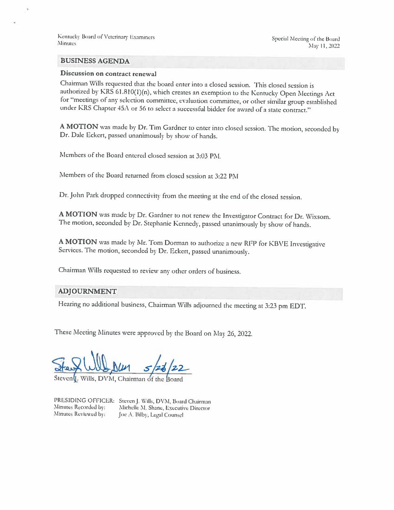Kentucky Board of Veterinary Examiners Minutes

#### **BUSINESS AGENDA**

### Discussion on contract renewal

Chairman Wills requested that the board enter into a closed session. This closed session is authorized by KRS 61.810(1)(n), which creates an exemption to the Kentucky Open Meetings Act for "meetings of any selection committee, evaluation committee, or other similar group established under KRS Chapter 45A or 56 to select a successful bidder for award of a state contract."

A MOTION was made by Dr. Tim Gardner to enter into closed session. The motion, seconded by Dr. Dale Eckert, passed unanimously by show of hands.

Members of the Board entered closed session at 3:03 PM.

Members of the Board returned from closed session at 3:22 PM

Dr. John Park dropped connectivity from the meeting at the end of the closed session.

A MOTION was made by Dr. Gardner to not renew the Investigator Contract for Dr. Wixsom. The motion, seconded by Dr. Stephanic Kennedy, passed unanimously by show of hands.

A MOTION was made by Mr. Tom Dorman to authorize a new RFP for KBVE Investigative Services. The motion, seconded by Dr. Eckert, passed unanimously.

Chairman Wills requested to review any other orders of business.

#### **ADJOURNMENT**

Hearing no additional business, Chairman Wills adjourned the meeting at 3:23 pm EDT.

These Meeting Minutes were approved by the Board on May 26, 2022.

Steven<sup>([</sup>, Wills, DVM, Chairman of the

Minutes Recorded by: Minutes Reviewed by:

PRESIDING OFFICER: Steven J. Wills, DVM, Board Chairman Michelle M. Shane, Executive Director Joe A. Bilby, Legal Counsel